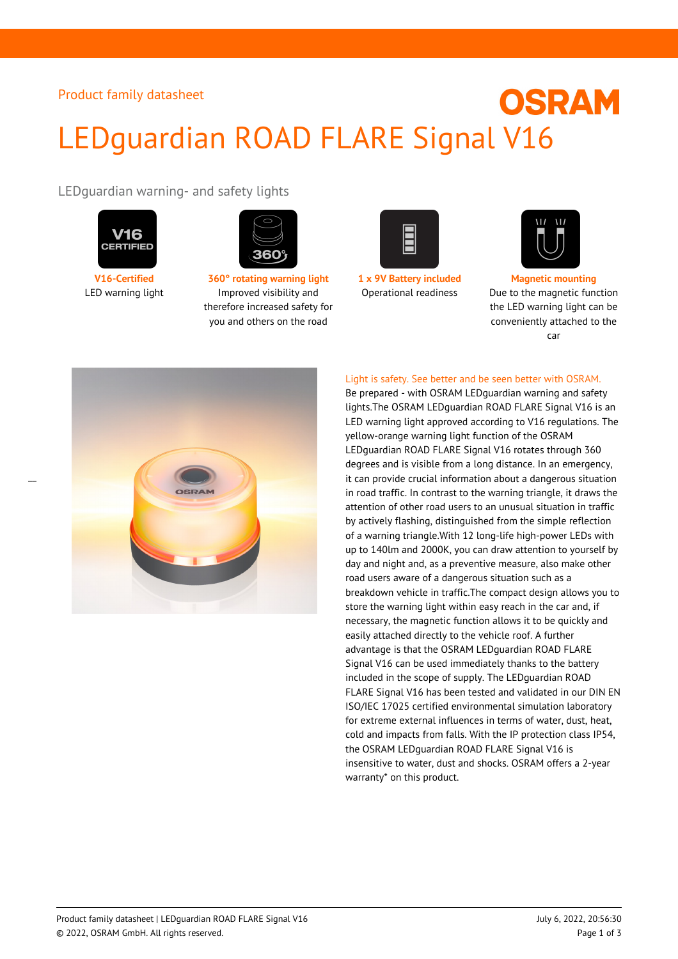# **OSRAM** LEDguardian ROAD FLARE Signal V16

LEDguardian warning- and safety lights



 $\overline{a}$ 



**V16-Certified 360° rotating warning light 1 x 9V Battery included Magnetic mounting** LED warning light Improved visibility and therefore increased safety for you and others on the road





Operational readiness Due to the magnetic function the LED warning light can be conveniently attached to the car



Light is safety. See better and be seen better with OSRAM.

Be prepared - with OSRAM LEDguardian warning and safety lights.The OSRAM LEDguardian ROAD FLARE Signal V16 is an LED warning light approved according to V16 regulations. The yellow-orange warning light function of the OSRAM LEDguardian ROAD FLARE Signal V16 rotates through 360 degrees and is visible from a long distance. In an emergency, it can provide crucial information about a dangerous situation in road traffic. In contrast to the warning triangle, it draws the attention of other road users to an unusual situation in traffic by actively flashing, distinguished from the simple reflection of a warning triangle.With 12 long-life high-power LEDs with up to 140lm and 2000K, you can draw attention to yourself by day and night and, as a preventive measure, also make other road users aware of a dangerous situation such as a breakdown vehicle in traffic.The compact design allows you to store the warning light within easy reach in the car and, if necessary, the magnetic function allows it to be quickly and easily attached directly to the vehicle roof. A further advantage is that the OSRAM LEDguardian ROAD FLARE Signal V16 can be used immediately thanks to the battery included in the scope of supply. The LEDguardian ROAD FLARE Signal V16 has been tested and validated in our DIN EN ISO/IEC 17025 certified environmental simulation laboratory for extreme external influences in terms of water, dust, heat, cold and impacts from falls. With the IP protection class IP54, the OSRAM LEDguardian ROAD FLARE Signal V16 is insensitive to water, dust and shocks. OSRAM offers a 2-year warranty\* on this product.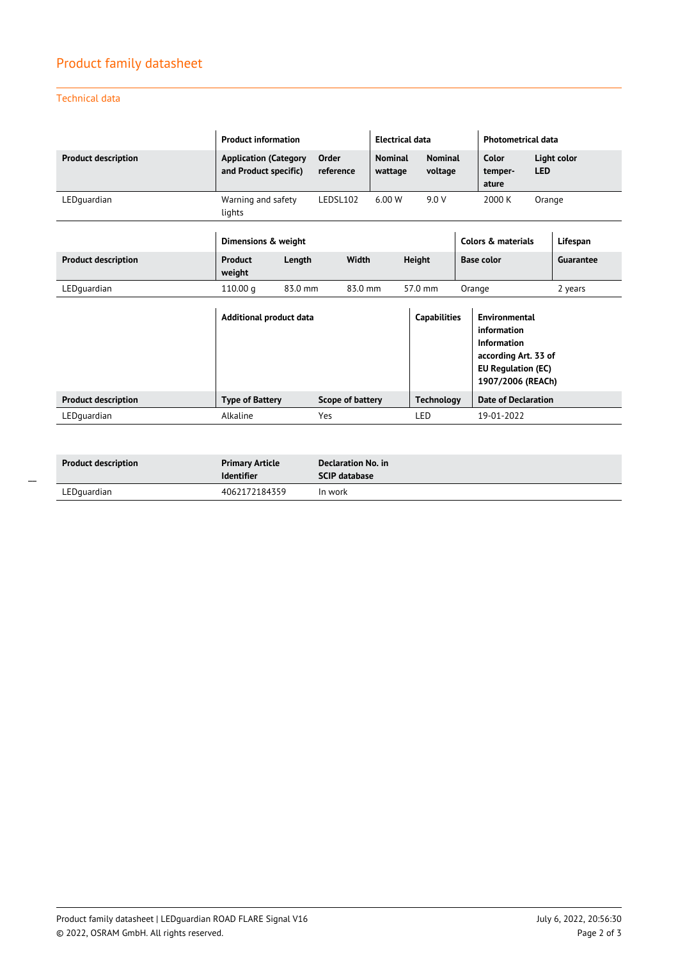## Product family datasheet

Technical data

|                            | <b>Product information</b>                            |         |                    | <b>Electrical data</b>    |                           |                            | <b>Photometrical data</b>                                                                                                    |            |             |
|----------------------------|-------------------------------------------------------|---------|--------------------|---------------------------|---------------------------|----------------------------|------------------------------------------------------------------------------------------------------------------------------|------------|-------------|
| <b>Product description</b> | <b>Application (Category</b><br>and Product specific) |         | Order<br>reference | <b>Nominal</b><br>wattage | <b>Nominal</b><br>voltage |                            | Color<br>temper-<br>ature                                                                                                    | <b>LED</b> | Light color |
| LEDquardian                | Warning and safety<br>lights                          |         | LEDSL102           | 6.00 W                    | 9.0V                      |                            | 2000 K                                                                                                                       | Orange     |             |
|                            | Dimensions & weight                                   |         |                    |                           |                           |                            | Colors & materials                                                                                                           |            | Lifespan    |
| <b>Product description</b> | Product<br>weight                                     | Length  | Width              |                           | <b>Height</b>             |                            | <b>Base color</b>                                                                                                            |            | Guarantee   |
| LEDquardian                | 110.00q                                               | 83.0 mm | 83.0 mm            |                           | 57.0 mm                   | Orange                     |                                                                                                                              |            | 2 years     |
|                            | Additional product data                               |         |                    |                           | <b>Capabilities</b>       |                            | <b>Environmental</b><br>information<br>Information<br>according Art. 33 of<br><b>EU Regulation (EC)</b><br>1907/2006 (REACh) |            |             |
| <b>Product description</b> | <b>Type of Battery</b><br>Scope of battery            |         |                    | <b>Technology</b>         |                           | <b>Date of Declaration</b> |                                                                                                                              |            |             |
| LEDquardian                | Alkaline                                              |         | Yes                |                           | LED                       |                            | 19-01-2022                                                                                                                   |            |             |

| <b>Product description</b> | <b>Primary Article</b><br><b>Identifier</b> | Declaration No. in<br>$SCIP$ database |
|----------------------------|---------------------------------------------|---------------------------------------|
| LEDquardian                | 4062172184359                               | In work                               |